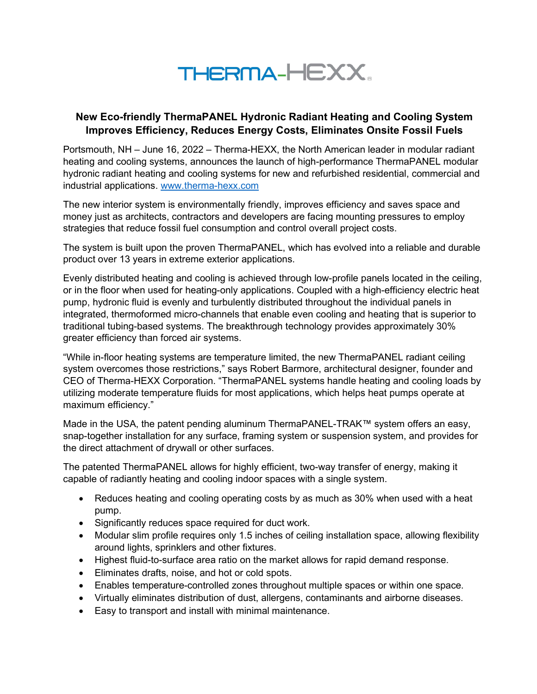

## New Eco-friendly ThermaPANEL Hydronic Radiant Heating and Cooling System Improves Efficiency, Reduces Energy Costs, Eliminates Onsite Fossil Fuels

Portsmouth, NH – June 16, 2022 – Therma-HEXX, the North American leader in modular radiant heating and cooling systems, announces the launch of high-performance ThermaPANEL modular hydronic radiant heating and cooling systems for new and refurbished residential, commercial and industrial applications. www.therma-hexx.com

The new interior system is environmentally friendly, improves efficiency and saves space and money just as architects, contractors and developers are facing mounting pressures to employ strategies that reduce fossil fuel consumption and control overall project costs.

The system is built upon the proven ThermaPANEL, which has evolved into a reliable and durable product over 13 years in extreme exterior applications.

Evenly distributed heating and cooling is achieved through low-profile panels located in the ceiling, or in the floor when used for heating-only applications. Coupled with a high-efficiency electric heat pump, hydronic fluid is evenly and turbulently distributed throughout the individual panels in integrated, thermoformed micro-channels that enable even cooling and heating that is superior to traditional tubing-based systems. The breakthrough technology provides approximately 30% greater efficiency than forced air systems.

"While in-floor heating systems are temperature limited, the new ThermaPANEL radiant ceiling system overcomes those restrictions," says Robert Barmore, architectural designer, founder and CEO of Therma-HEXX Corporation. "ThermaPANEL systems handle heating and cooling loads by utilizing moderate temperature fluids for most applications, which helps heat pumps operate at maximum efficiency."

Made in the USA, the patent pending aluminum ThermaPANEL-TRAK™ system offers an easy, snap-together installation for any surface, framing system or suspension system, and provides for the direct attachment of drywall or other surfaces.

The patented ThermaPANEL allows for highly efficient, two-way transfer of energy, making it capable of radiantly heating and cooling indoor spaces with a single system.

- Reduces heating and cooling operating costs by as much as 30% when used with a heat pump.
- Significantly reduces space required for duct work.
- Modular slim profile requires only 1.5 inches of ceiling installation space, allowing flexibility around lights, sprinklers and other fixtures.
- Highest fluid-to-surface area ratio on the market allows for rapid demand response.
- Eliminates drafts, noise, and hot or cold spots.
- Enables temperature-controlled zones throughout multiple spaces or within one space.
- Virtually eliminates distribution of dust, allergens, contaminants and airborne diseases.
- Easy to transport and install with minimal maintenance.